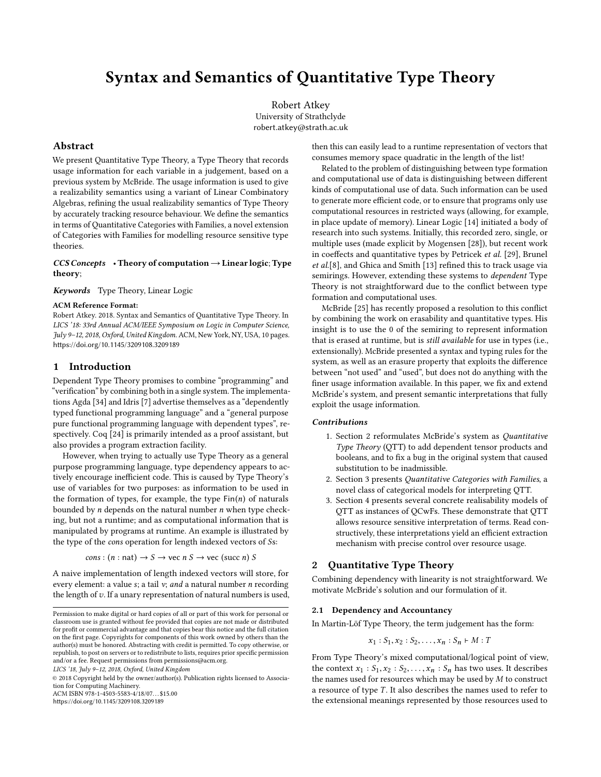## Syntax and Semantics of Quantitative Type Theory

Robert Atkey University of Strathclyde robert.atkey@strath.ac.uk

## Abstract

We present Quantitative Type Theory, a Type Theory that records usage information for each variable in a judgement, based on a previous system by McBride. The usage information is used to give a realizability semantics using a variant of Linear Combinatory Algebras, refining the usual realizability semantics of Type Theory by accurately tracking resource behaviour. We define the semantics in terms of Quantitative Categories with Families, a novel extension of Categories with Families for modelling resource sensitive type theories.

### $CCS$  Concepts • Theory of computation  $\rightarrow$  Linear logic; Type theory;

Keywords Type Theory, Linear Logic

### ACM Reference Format:

Robert Atkey. 2018. Syntax and Semantics of Quantitative Type Theory. In LICS '18: 33rd Annual ACM/IEEE Symposium on Logic in Computer Science, July 9–12, 2018, Oxford, United Kingdom. ACM, New York, NY, USA, [10](#page-9-0) pages. <https://doi.org/10.1145/3209108.3209189>

### 1 Introduction

Dependent Type Theory promises to combine "programming" and "verification" by combining both in a single system. The implementations Agda [\[34\]](#page-9-1) and Idris [\[7\]](#page-9-2) advertise themselves as a "dependently typed functional programming language" and a "general purpose pure functional programming language with dependent types", respectively. Coq [\[24\]](#page-9-3) is primarily intended as a proof assistant, but also provides a program extraction facility.

However, when trying to actually use Type Theory as a general purpose programming language, type dependency appears to actively encourage inefficient code. This is caused by Type Theory's use of variables for two purposes: as information to be used in the formation of types, for example, the type  $Fin(n)$  of naturals bounded by  $n$  depends on the natural number  $n$  when type checking, but not a runtime; and as computational information that is manipulated by programs at runtime. An example is illustrated by the type of the cons operation for length indexed vectors of Ss:

cons :  $(n : nat) \rightarrow S \rightarrow vec \nvert nS \rightarrow vec \nvert (succ \nvert n) S$ 

A naive implementation of length indexed vectors will store, for every element: a value  $s$ ; a tail  $v$ ; and a natural number n recording the length of  $v$ . If a unary representation of natural numbers is used,

© 2018 Copyright held by the owner/author(s). Publication rights licensed to Association for Computing Machinery.

ACM ISBN 978-1-4503-5583-4/18/07...\$15.00

<https://doi.org/10.1145/3209108.3209189>

then this can easily lead to a runtime representation of vectors that consumes memory space quadratic in the length of the list!

Related to the problem of distinguishing between type formation and computational use of data is distinguishing between different kinds of computational use of data. Such information can be used to generate more efficient code, or to ensure that programs only use computational resources in restricted ways (allowing, for example, in place update of memory). Linear Logic [\[14\]](#page-9-4) initiated a body of research into such systems. Initially, this recorded zero, single, or multiple uses (made explicit by Mogensen [\[28\]](#page-9-5)), but recent work in coeffects and quantitative types by Petricek et al. [\[29\]](#page-9-6), Brunel et al.[\[8\]](#page-9-7), and Ghica and Smith [\[13\]](#page-9-8) refined this to track usage via semirings. However, extending these systems to dependent Type Theory is not straightforward due to the conflict between type formation and computational uses.

McBride [\[25\]](#page-9-9) has recently proposed a resolution to this conflict by combining the work on erasability and quantitative types. His insight is to use the 0 of the semiring to represent information that is erased at runtime, but is still available for use in types (i.e., extensionally). McBride presented a syntax and typing rules for the system, as well as an erasure property that exploits the difference between "not used" and "used", but does not do anything with the finer usage information available. In this paper, we fix and extend McBride's system, and present semantic interpretations that fully exploit the usage information.

### Contributions

- 1. [Section 2](#page-0-0) reformulates McBride's system as Quantitative Type Theory (QTT) to add dependent tensor products and booleans, and to fix a bug in the original system that caused substitution to be inadmissible.
- 2. [Section 3](#page-4-0) presents Quantitative Categories with Families, a novel class of categorical models for interpreting QTT.
- 3. [Section 4](#page-6-0) presents several concrete realisability models of QTT as instances of QCwFs. These demonstrate that QTT allows resource sensitive interpretation of terms. Read constructively, these interpretations yield an efficient extraction mechanism with precise control over resource usage.

## <span id="page-0-0"></span>2 Quantitative Type Theory

Combining dependency with linearity is not straightforward. We motivate McBride's solution and our formulation of it.

### <span id="page-0-1"></span>2.1 Dependency and Accountancy

In Martin-Löf Type Theory, the term judgement has the form:

$$
x_1 : S_1, x_2 : S_2, \ldots, x_n : S_n \vdash M : T
$$

From Type Theory's mixed computational/logical point of view, the context  $x_1 : S_1, x_2 : S_2, \ldots, x_n : S_n$  has two uses. It describes the names used for resources which may be used by  $M$  to construct a resource of type  $T$ . It also describes the names used to refer to the extensional meanings represented by those resources used to

Permission to make digital or hard copies of all or part of this work for personal or classroom use is granted without fee provided that copies are not made or distributed for profit or commercial advantage and that copies bear this notice and the full citation on the first page. Copyrights for components of this work owned by others than the author(s) must be honored. Abstracting with credit is permitted. To copy otherwise, or republish, to post on servers or to redistribute to lists, requires prior specific permission and/or a fee. Request permissions from permissions@acm.org.

LICS '18, July 9–12, 2018, Oxford, United Kingdom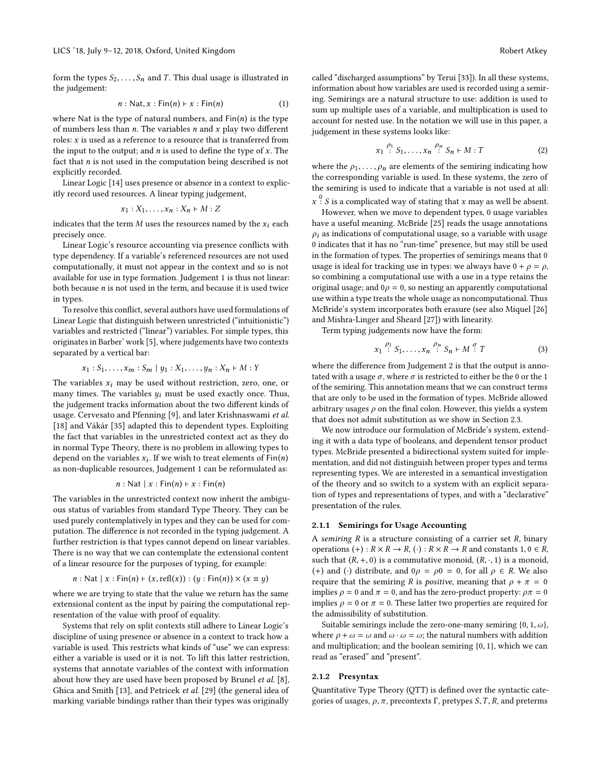form the types  $S_2, \ldots, S_n$  and T. This dual usage is illustrated in the judgement:

<span id="page-1-0"></span>
$$
n : \mathsf{Nat}, x : \mathsf{Fin}(n) \vdash x : \mathsf{Fin}(n) \tag{1}
$$

where Nat is the type of natural numbers, and  $Fin(n)$  is the type of numbers less than  $n$ . The variables  $n$  and  $x$  play two different roles:  $x$  is used as a reference to a resource that is transferred from the input to the output; and  $n$  is used to define the type of  $x$ . The fact that  $n$  is not used in the computation being described is not explicitly recorded.

Linear Logic [\[14\]](#page-9-4) uses presence or absence in a context to explicitly record used resources. A linear typing judgement,

$$
x_1: X_1, \ldots, x_n: X_n \vdash M: Z
$$

indicates that the term  $M$  uses the resources named by the  $x_i$  each precisely once.

Linear Logic's resource accounting via presence conflicts with type dependency. If a variable's referenced resources are not used computationally, it must not appear in the context and so is not available for use in type formation. [Judgement 1](#page-1-0) is thus not linear: both because  $n$  is not used in the term, and because it is used twice in types.

To resolve this conflict, several authors have used formulations of Linear Logic that distinguish between unrestricted ("intuitionistic") variables and restricted ("linear") variables. For simple types, this originates in Barber' work [\[5\]](#page-9-10), where judgements have two contexts separated by a vertical bar:

$$
x_1: S_1, ..., x_m: S_m | y_1: X_1, ..., y_n: X_n \vdash M: Y
$$

The variables  $x_i$  may be used without restriction, zero, one, or many times. The variables  $y_i$  must be used exactly once. Thus, the judgement tracks information about the two different kinds of usage. Cervesato and Pfenning [\[9\]](#page-9-11), and later Krishnaswami et al. [\[18\]](#page-9-12) and Vákár [\[35\]](#page-9-13) adapted this to dependent types. Exploiting the fact that variables in the unrestricted context act as they do in normal Type Theory, there is no problem in allowing types to depend on the variables  $x_i$ . If we wish to treat elements of  $\text{Fin}(n)$ <br>as non-duplicable resources, Judgement 1 can be reformulated as: as non-duplicable resources, [Judgement 1](#page-1-0) can be reformulated as:

$$
n : \mathsf{Nat} \mid x : \mathsf{Fin}(n) \vdash x : \mathsf{Fin}(n)
$$

The variables in the unrestricted context now inherit the ambiguous status of variables from standard Type Theory. They can be used purely contemplatively in types and they can be used for computation. The difference is not recorded in the typing judgement. A further restriction is that types cannot depend on linear variables. There is no way that we can contemplate the extensional content of a linear resource for the purposes of typing, for example:

$$
a: \mathsf{Nat} \mid x: \mathsf{Fin}(n) \vdash (x, \mathsf{refl}(x)) : (y: \mathsf{Fin}(n)) \times (x \equiv y)
$$

*n* : Nat | *x* : Fin(*n*) ⊢ (*x*, refl(*x*)) : (*y* : Fin(*n*)) × (*x* ≡ *y*) where we are trying to state that the value we return has the same extensional content as the input by pairing the computational representation of the value with proof of equality.

Systems that rely on split contexts still adhere to Linear Logic's discipline of using presence or absence in a context to track how a variable is used. This restricts what kinds of "use" we can express: either a variable is used or it is not. To lift this latter restriction, systems that annotate variables of the context with information about how they are used have been proposed by Brunel et al. [\[8\]](#page-9-7), Ghica and Smith [\[13\]](#page-9-8), and Petricek et al. [\[29\]](#page-9-6) (the general idea of marking variable bindings rather than their types was originally

called "discharged assumptions" by Terui [\[33\]](#page-9-14)). In all these systems, information about how variables are used is recorded using a semiring. Semirings are a natural structure to use: addition is used to sum up multiple uses of a variable, and multiplication is used to account for nested use. In the notation we will use in this paper, a judgement in these systems looks like:

<span id="page-1-1"></span>
$$
x_1 \stackrel{\rho_1}{\colon} S_1, \dots, x_n \stackrel{\rho_n}{\colon} S_n \vdash M : T \tag{2}
$$

where the  $\rho_1, \ldots, \rho_n$  are elements of the semiring indicating how the corresponding variable is used. In these systems, the zero of the semiring is used to indicate that a variable is not used at all:

 $\frac{0}{15}$ : S is a complicated way of stating that x may as well be absent.

However, when we move to dependent types, 0 usage variables have a useful meaning. McBride [\[25\]](#page-9-9) reads the usage annotations  $\rho_i$  as indications of computational usage, so a variable with usage 0 indicates that it has no "run-time" presence, but may still be used in the formation of types. The properties of semirings means that 0 usage is ideal for tracking use in types: we always have  $0 + \rho = \rho$ , so combining a computational use with a use in a type retains the original usage; and  $0\rho = 0$ , so nesting an apparently computational use within a type treats the whole usage as noncomputational. Thus McBride's system incorporates both erasure (see also Miquel [\[26\]](#page-9-15) and Mishra-Linger and Sheard [\[27\]](#page-9-16)) with linearity.

Term typing judgements now have the form:

$$
x_1 \stackrel{\rho_1}{\colon} S_1, \dots, x_n \stackrel{\rho_n}{\colon} S_n \vdash M \stackrel{\sigma}{\colon} T \tag{3}
$$

where the difference from [Judgement 2](#page-1-1) is that the output is annotated with a usage  $\sigma$ , where  $\sigma$  is restricted to either be the 0 or the 1 of the semiring. This annotation means that we can construct terms that are only to be used in the formation of types. McBride allowed arbitrary usages  $\rho$  on the final colon. However, this yields a system that does not admit substitution as we show in [Section 2.3.](#page-4-1)

We now introduce our formulation of McBride's system, extending it with a data type of booleans, and dependent tensor product types. McBride presented a bidirectional system suited for implementation, and did not distinguish between proper types and terms representing types. We are interested in a semantical investigation of the theory and so switch to a system with an explicit separation of types and representations of types, and with a "declarative" presentation of the rules.

#### 2.1.1 Semirings for Usage Accounting

A semiring  $R$  is a structure consisting of a carrier set  $R$ , binary operations  $(+)$ :  $R \times R \rightarrow R$ ,  $(·)$ :  $R \times R \rightarrow R$  and constants  $1, 0 \in R$ , such that  $(R, +, 0)$  is a commutative monoid,  $(R, \cdot, 1)$  is a monoid, (+) and (·) distribute, and  $0\rho = \rho 0 = 0$ , for all  $\rho \in R$ . We also require that the semiring R is *positive*, meaning that  $\rho + \pi = 0$ implies  $\rho = 0$  and  $\pi = 0$ , and has the zero-product property:  $\rho \pi = 0$ implies  $\rho = 0$  or  $\pi = 0$ . These latter two properties are required for the admissibility of substitution.

Suitable semirings include the zero-one-many semiring  $\{0, 1, \omega\}$ , where  $\rho + \omega = \omega$  and  $\omega \cdot \omega = \omega$ ; the natural numbers with addition and multiplication; and the boolean semiring {0, <sup>1</sup>}, which we can read as "erased" and "present".

### 2.1.2 Presyntax

Quantitative Type Theory (QTT) is defined over the syntactic categories of usages,  $\rho$ ,  $\pi$ , precontexts  $\Gamma$ , pretypes  $S$ ,  $T$ ,  $R$ , and preterms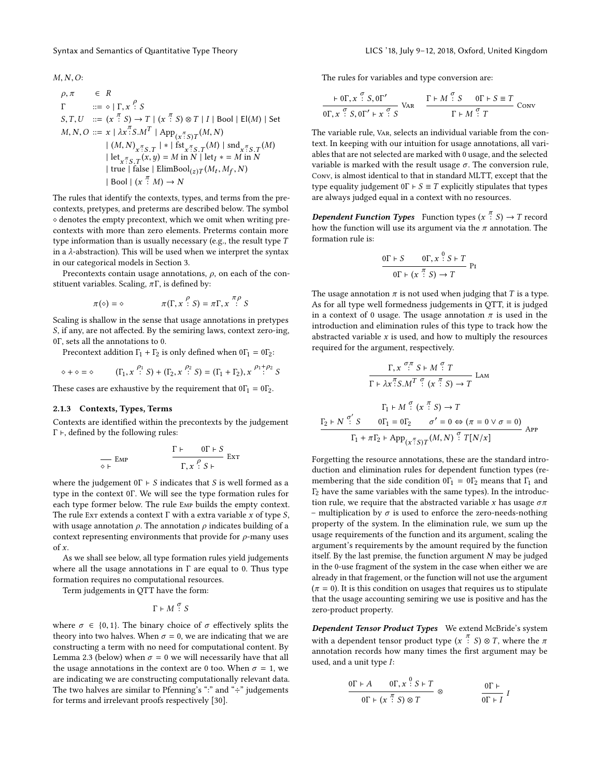$M, N, O$ :

$$
\rho, \pi \in R
$$
\n
$$
\Gamma \qquad ::= \diamond | \Gamma, x \stackrel{\rho}{\cdot} S
$$
\n
$$
S, T, U \quad ::= (x \stackrel{\pi}{\cdot} S) \to T | (x \stackrel{\pi}{\cdot} S) \otimes T | I | \text{Bool} | \text{El}(M) | \text{Set}
$$
\n
$$
M, N, O ::= x | \lambda x \stackrel{\pi}{\cdot} S \cdot M^T | \text{App}_{(x \stackrel{\pi}{\cdot} S)T}(M, N)
$$
\n
$$
| (M, N)_{x \stackrel{\pi}{\cdot} S \cdot T} | * | \text{fst}_{x \stackrel{\pi}{\cdot} S \cdot T}(M) | \text{snd}_{x \stackrel{\pi}{\cdot} S \cdot T}(M)
$$
\n
$$
| \text{let}_{x \stackrel{\pi}{\cdot} S \cdot T}(x, y) = M \text{ in } N | \text{let}_{I} * = M \text{ in } N
$$
\n
$$
| \text{ true } | \text{ false } | \text{ElimBool}_{(z)T}(M_t, M_f, N)
$$
\n
$$
| \text{Bool } | (x \stackrel{\pi}{\cdot} M) \to N
$$

The rules that identify the contexts, types, and terms from the precontexts, pretypes, and preterms are described below. The symbol ⋄ denotes the empty precontext, which we omit when writing precontexts with more than zero elements. Preterms contain more type information than is usually necessary (e.g., the result type T in a  $\lambda$ -abstraction). This will be used when we interpret the syntax in our categorical models in [Section 3.](#page-4-0)

Precontexts contain usage annotations,  $\rho$ , on each of the constituent variables. Scaling,  $\pi \Gamma$ , is defined by:

$$
\pi(\diamond) = \diamond \qquad \qquad \pi(\Gamma, x \stackrel{\rho}{\colon} S) = \pi \Gamma, x \stackrel{\pi \rho}{\colon} S
$$

Scaling is shallow in the sense that usage annotations in pretypes S, if any, are not affected. By the semiring laws, context zero-ing, <sup>0</sup>Γ, sets all the annotations to 0.

Precontext addition  $\Gamma_1 + \Gamma_2$  is only defined when  $0\Gamma_1 = 0\Gamma_2$ :

$$
\diamond + \diamond = \diamond \qquad (\Gamma_1, x \stackrel{\rho_1}{\cdot} S) + (\Gamma_2, x \stackrel{\rho_2}{\cdot} S) = (\Gamma_1 + \Gamma_2), x \stackrel{\rho_1 + \rho_2}{\cdot} S
$$

These cases are exhaustive by the requirement that  $0\Gamma_1 = 0\Gamma_2$ .

### 2.1.3 Contexts, Types, Terms

Contexts are identified within the precontexts by the judgement  $Γ$  ⊦, defined by the following rules:

$$
\frac{\Gamma \vdash \quad \text{or} \vdash S}{\Gamma, x \cdot S \vdash} \text{Ext}
$$

where the judgement  $0\Gamma \vdash S$  indicates that S is well formed as a type in the context <sup>0</sup>Γ. We will see the type formation rules for each type former below. The rule Emp builds the empty context. The rule Extends a context  $\Gamma$  with a extra variable x of type S, with usage annotation  $\rho$ . The annotation  $\rho$  indicates building of a context representing environments that provide for  $\rho$ -many uses of  $x$ .

As we shall see below, all type formation rules yield judgements where all the usage annotations in  $\Gamma$  are equal to 0. Thus type formation requires no computational resources.

Term judgements in QTT have the form:

 $\Gamma \vdash M \overset{\sigma}{\colon} S$ 

where  $\sigma \in \{0, 1\}$ . The binary choice of  $\sigma$  effectively splits the theory into two halves. When  $\sigma = 0$ , we are indicating that we are constructing a term with no need for computational content. By [Lemma 2.3](#page-4-2) (below) when  $\sigma = 0$  we will necessarily have that all the usage annotations in the context are 0 too. When  $\sigma = 1$ , we are indicating we are constructing computationally relevant data. The two halves are similar to Pfenning's ":" and " $\div$ " judgements for terms and irrelevant proofs respectively [\[30\]](#page-9-17).

The rules for variables and type conversion are:

$$
\frac{\vdash \mathsf{0}\Gamma, x \stackrel{\sigma}{\cdot} S, \mathsf{0}\Gamma'}{\mathsf{0}\Gamma, x \stackrel{\sigma}{\cdot} S, \mathsf{0}\Gamma' \vdash x \stackrel{\sigma}{\cdot} S} \text{Var} \qquad \frac{\Gamma \vdash M \stackrel{\sigma}{\cdot} S \qquad \mathsf{0}\Gamma \vdash S \equiv T}{\Gamma \vdash M \stackrel{\sigma}{\cdot} T} \text{Conv}
$$

The variable rule, Var, selects an individual variable from the context. In keeping with our intuition for usage annotations, all variables that are not selected are marked with 0 usage, and the selected variable is marked with the result usage  $\sigma$ . The conversion rule, Conv, is almost identical to that in standard MLTT, except that the type equality judgement  $0\Gamma \vdash S \equiv T$  explicitly stipulates that types are always judged equal in a context with no resources.

**Dependent Function Types** Function types  $(x^{\frac{\pi}{i}}S) \to T$  record how the function will use its argument via the  $\pi$  annotation. The how the function will use its argument via the  $\pi$  annotation. The formation rule is:

$$
\frac{0\Gamma + S \qquad 0\Gamma, x \stackrel{0}{:} S \vdash T}{0\Gamma \vdash (x \stackrel{\pi}{:} S) \rightarrow T} \text{Pr}
$$

The usage annotation  $\pi$  is not used when judging that T is a type. As for all type well formedness judgements in QTT, it is judged in a context of 0 usage. The usage annotation  $\pi$  is used in the introduction and elimination rules of this type to track how the abstracted variable  $x$  is used, and how to multiply the resources required for the argument, respectively.

$$
\frac{\Gamma, x \stackrel{\sigma, \pi}{\cdot} S + M \stackrel{\sigma}{\cdot} T}{\Gamma + \lambda x \stackrel{\pi}{\cdot} S.M^T \stackrel{\sigma}{\cdot} (x \stackrel{\pi}{\cdot} S) \to T} \text{ LAM}
$$
\n
$$
\frac{\Gamma_1 + M \stackrel{\sigma}{\cdot} (x \stackrel{\pi}{\cdot} S) \to T}{\Gamma_1 + M \stackrel{\sigma'}{\cdot} S} \frac{\Gamma_2}{\Gamma_1 + \pi \Gamma_2 + \text{App}_{(x \stackrel{\pi}{\cdot} S)T}(M, N) \stackrel{\sigma}{\cdot} T[N/x]} \text{ App}
$$

Forgetting the resource annotations, these are the standard introduction and elimination rules for dependent function types (remembering that the side condition  $0\Gamma_1 = 0\Gamma_2$  means that  $\Gamma_1$  and  $\Gamma$ <sub>2</sub> have the same variables with the same types). In the introduction rule, we require that the abstracted variable x has usage  $\sigma \pi$ – multiplication by  $\sigma$  is used to enforce the zero-needs-nothing property of the system. In the elimination rule, we sum up the usage requirements of the function and its argument, scaling the argument's requirements by the amount required by the function itself. By the last premise, the function argument  $N$  may be judged in the 0-use fragment of the system in the case when either we are already in that fragement, or the function will not use the argument  $(\pi = 0)$ . It is this condition on usages that requires us to stipulate that the usage accounting semiring we use is positive and has the zero-product property.

Dependent Tensor Product Types We extend McBride's system with a dependent tensor product type  $(x^{\frac{\pi}{i}} S) \otimes T$ , where the  $\pi$ <br>annotation records how many times the first argument may be annotation records how many times the first argument may be used, and a unit type I:

$$
\frac{0\Gamma \vdash A \qquad 0\Gamma, x \stackrel{0}{\cdot} S \vdash T}{0\Gamma \vdash (x \stackrel{\pi}{\cdot} S) \otimes T} \otimes \frac{0\Gamma \vdash}{0\Gamma \vdash I}
$$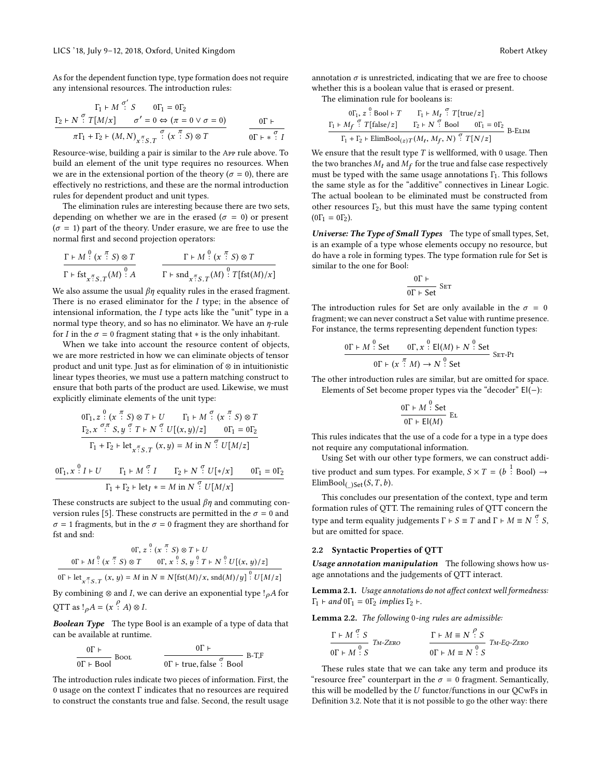As for the dependent function type, type formation does not require any intensional resources. The introduction rules:

$$
\Gamma_1 \vdash M \stackrel{\sigma'}{\vdots} S \qquad 0\Gamma_1 = 0\Gamma_2
$$
\n
$$
\frac{\Gamma_2 \vdash N \stackrel{\sigma}{\vdots} T[M/x] \qquad \sigma' = 0 \Leftrightarrow (\pi = 0 \lor \sigma = 0)}{\pi\Gamma_1 + \Gamma_2 \vdash (M, N)_{\pi \stackrel{\sigma}{\vdots} S.T} \stackrel{\sigma}{\vdots} (x \stackrel{\pi}{\vdots} S) \otimes T} \qquad \frac{\sigma \vdash \vdash \pi \stackrel{\sigma}{\vdots} T}{\sigma \vdash \ast \stackrel{\sigma}{\vdots} T}
$$
\nResource-wise, building a pair is similar to the App rule above. To

build an element of the unit type requires no resources. When we are in the extensional portion of the theory ( $\sigma = 0$ ), there are effectively no restrictions, and these are the normal introduction rules for dependent product and unit types.

The elimination rules are interesting because there are two sets, depending on whether we are in the erased ( $\sigma = 0$ ) or present  $(\sigma = 1)$  part of the theory. Under erasure, we are free to use the normal first and second projection operators:

$$
\frac{\Gamma \vdash M \stackrel{0}{\colon} (x \stackrel{\pi}{\colon} S) \otimes T}{\Gamma \vdash \text{fst}_{x \stackrel{\pi}{\colon} S \cdot T} (M) \stackrel{0}{\colon} A} \qquad \frac{\Gamma \vdash M \stackrel{0}{\colon} (x \stackrel{\pi}{\colon} S) \otimes T}{\Gamma \vdash \text{snd}_{x \stackrel{\pi}{\colon} S \cdot T} (M) \stackrel{0}{\colon} T[\text{fst}(M)/x]}
$$

We also assume the usual  $\beta \eta$  equality rules in the erased fragment.<br>There is no erased eliminator for the *I* type: in the absence of There is no erased eliminator for the  $I$  type; in the absence of intensional information, the  $I$  type acts like the "unit" type in a normal type theory, and so has no eliminator. We have an  $\eta$ -rule for *I* in the  $\sigma = 0$  fragment stating that  $*$  is the only inhabitant.

When we take into account the resource content of objects, we are more restricted in how we can eliminate objects of tensor product and unit type. Just as for elimination of ⊗ in intuitionistic linear types theories, we must use a pattern matching construct to ensure that both parts of the product are used. Likewise, we must explicitly eliminate elements of the unit type:

$$
0\Gamma_{1}, z^{0} \text{ (x } \frac{\pi}{3}, y \text{ or } \Gamma_{1} \text{ ) } \text{ } \text{ } \Gamma_{1} \text{ + } M \text{ } \frac{\sigma}{3} \text{ (x } \frac{\pi}{3}, y \text{ or } \Gamma_{2}, x \text{ } \frac{\sigma_{1} \pi}{3}, y \text{ } \frac{\sigma}{3} \text{ } T \text{ + } N \text{ } \frac{\sigma}{3} \text{ } U[(x, y)/z] \text{ } \text{ } \text{ } \text{ } 0\Gamma_{1} = 0\Gamma_{2}
$$
\n
$$
\Gamma_{1} + \Gamma_{2} \text{ + } \text{let}_{x \text{ } \frac{\pi}{3}, \Gamma_{1}} (x, y) = M \text{ in } N \text{ } \frac{\sigma}{3} \text{ } U[M/z]
$$
\n
$$
0\Gamma_{1}, x \text{ } \frac{0}{2} I + U \text{ } \Gamma_{1} \text{ + } M \text{ } \frac{\sigma}{3} I \text{ } \Gamma_{2} \text{ + } N \text{ } \frac{\sigma}{3} \text{ } U[\ast/x] \text{ } \text{ } 0\Gamma_{1} = 0\Gamma_{2}
$$

 $\Gamma_1 + \Gamma_2$  + let<sub>I</sub> \* = M in N<sup>o</sup>:  $U[M/x]$ These constructs are subject to the usual  $\beta\eta$  and commuting con-version rules [\[5\]](#page-9-10). These constructs are permitted in the  $\sigma = 0$  and  $\sigma = 1$  fragments, but in the  $\sigma = 0$  fragment they are shorthand for fst and snd:

$$
0\Gamma, z^0: (x^7; S) \otimes T + U
$$
  

$$
0\Gamma + M^0: (x^7; S) \otimes T \qquad 0\Gamma, x^0: S, y^0: T + N^0: U[(x, y)/z]
$$
  

$$
0\Gamma + \text{let}_{x^7; S, T}(x, y) = M \text{ in } N \equiv N[\text{fst}(M)/x, \text{snd}(M)/y] \cdot U[M/z]
$$

By combining ⊗ and I, we can derive an exponential type  $!_{\rho}A$  for QTT as  $!_{\rho}A = (x \stackrel{\rho}{:} A) \otimes I$ .

**Boolean Type** The type Bool is an example of a type of data that can be available at runtime.

$$
\frac{0\Gamma \vdash}{0\Gamma \vdash \text{Bool}} \quad \text{Bool} \qquad \qquad \frac{0\Gamma \vdash}{0\Gamma \vdash \text{true}, \text{false} \stackrel{\sigma}{\vdash} \text{Bool}} \quad \text{B-T,F}
$$

The introduction rules indicate two pieces of information. First, the 0 usage on the context  $\Gamma$  indicates that no resources are required to construct the constants true and false. Second, the result usage annotation  $\sigma$  is unrestricted, indicating that we are free to choose whether this is a boolean value that is erased or present.

The elimination rule for booleans is:

$$
\frac{\Gamma_1 \times M_f \stackrel{\sigma}{\cdot} \text{Bool} \vdash T \qquad \Gamma_1 \vdash M_t \stackrel{\sigma}{\cdot} T[\text{true}/z]}{\Gamma_1 \vdash M_f \stackrel{\sigma}{\cdot} T[\text{false}/z] \qquad \Gamma_2 \vdash N \stackrel{\sigma}{\cdot} \text{Bool} \qquad 0 \Gamma_1 = 0 \Gamma_2} B\text{-ELIM}
$$
\n
$$
\frac{\Gamma_1 + \Gamma_2 \vdash \text{ElimBool}_{(z)T}(M_t, M_f, N) \stackrel{\sigma}{\cdot} T[N/z]}{[N/ z]}
$$

We ensure that the result type  $T$  is wellformed, with 0 usage. Then the two branches  $M_t$  and  $M_f$  for the true and false case respectively<br>must be typed with the same usage annotations  $\Gamma$ . This follows must be typed with the same usage annotations  $\Gamma_1$ . This follows the same style as for the "additive" connectives in Linear Logic. The actual boolean to be eliminated must be constructed from other resources  $\Gamma_2$ , but this must have the same typing content  $(0\Gamma_1 = 0\Gamma_2).$ 

Universe: The Type of Small Types The type of small types, Set, is an example of a type whose elements occupy no resource, but do have a role in forming types. The type formation rule for Set is similar to the one for Bool:

$$
\frac{0\Gamma\vdash}{0\Gamma\vdash \mathsf{Set}}\ \mathsf{Set}
$$

The introduction rules for Set are only available in the  $\sigma = 0$ fragment; we can never construct a Set value with runtime presence. For instance, the terms representing dependent function types:

$$
\frac{0\Gamma \vdash M \stackrel{0}{\cdot} \text{Set} \qquad 0\Gamma, x \stackrel{0}{\cdot} \text{El}(M) \vdash N \stackrel{0}{\cdot} \text{Set}}{0\Gamma \vdash (x \stackrel{\pi}{\cdot} M) \to N \stackrel{0}{\cdot} \text{Set}} \text{Set}
$$

The other introduction rules are similar, but are omitted for space. Elements of Set become proper types via the "decoder" El(−):

$$
\frac{0\Gamma \vdash M \stackrel{0}{\colon} \mathsf{Set}}{0\Gamma \vdash \mathsf{El}(M)} \; \mathrm{E}_{\mathsf{L}}
$$

 $0\Gamma \vdash \mathsf{El}(M)$ <br>This rules indicates that the use of a code for a type in a type does not require any computational information.

Using Set with our other type formers, we can construct additive product and sum types. For example,  $S \times T = (b^{\frac{1}{2}} \text{Bool}) \rightarrow$ ElimBool<sub>(\_)Set</sub>(S, T, b).

This concludes our presentation of the context, type and term formation rules of QTT. The remaining rules of QTT concern the type and term equality judgements  $\Gamma \vdash S \equiv T$  and  $\Gamma \vdash M \equiv N \stackrel{\sigma}{\colon} S$ , but are omitted for space but are omitted for space.

### 2.2 Syntactic Properties of QTT

Usage annotation manipulation The following shows how usage annotations and the judgements of QTT interact.

Lemma 2.1. Usage annotations do not affect context well formedness:  $\Gamma_1$  ⊢ and  $0\Gamma_1 = 0\Gamma_2$  implies  $\Gamma_2$  ⊢.

<span id="page-3-0"></span>Lemma 2.2. The following 0-ing rules are admissible:

$$
\frac{\Gamma \vdash M \stackrel{\sigma}{\cdot} S}{\text{OT} \vdash M \stackrel{\Omega}{\cdot} S} T_{M\text{-}ZERO} \qquad \qquad \frac{\Gamma \vdash M \equiv N \stackrel{\rho}{\cdot} S}{\text{OT} \vdash M \equiv N \stackrel{\Omega}{\cdot} S} T_{M\text{-}EQ\text{-}ZERO}
$$

These rules state that we can take any term and produce its "resource free" counterpart in the  $\sigma = 0$  fragment. Semantically, this will be modelled by the  $U$  functor/functions in our QCwFs in [Definition 3.2.](#page-5-0) Note that it is not possible to go the other way: there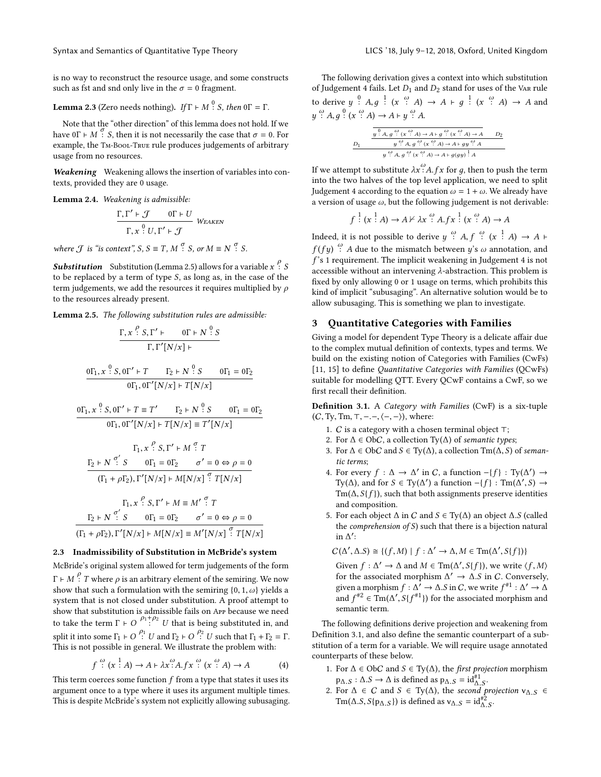is no way to reconstruct the resource usage, and some constructs such as fst and snd only live in the  $\sigma = 0$  fragment.

# <span id="page-4-2"></span>**Lemma 2.3** (Zero needs nothing).  $If \Gamma \vdash M$  <sup>0</sup>: *S*, then  $0\Gamma = \Gamma$ .

Note that the "other direction" of this lemma does not hold. If we have  $0\Gamma \vdash M$   $\Gamma$  S, then it is not necessarily the case that  $\sigma = 0$ . For example, the TM-BOOL-TRUE rule produces judgements of arbitrary example, the Tm-Bool-True rule produces judgements of arbitrary usage from no resources.

Weakening Weakening allows the insertion of variables into contexts, provided they are 0 usage.

Lemma 2.4. Weakening is admissible:

$$
\frac{\Gamma, \Gamma' \vdash \mathcal{J} \qquad 0\Gamma \vdash U}{\Gamma, x \stackrel{0}{\cdot} U, \Gamma' \vdash \mathcal{J}} \text{ WFAKEN}
$$

where  $\mathcal J$  is "is context",  $S, S \equiv T, M^{\sigma}$ .  $S, or M \equiv N^{\sigma}$ .  $S$ .

**Substitution** Substitution [\(Lemma 2.5\)](#page-4-3) allows for a variable  $x \stackrel{P}{\colon} S$ <br>to be replaced by a term of type  $S$ , as long as in the case of the to be replaced by a term of type S, as long as, in the case of the term judgements, we add the resources it requires multiplied by  $\rho$ to the resources already present.

<span id="page-4-3"></span>Lemma 2.5. The following substitution rules are admissible:

$$
\frac{\Gamma, x \stackrel{\rho}{\cdot} S, \Gamma' \vdash \qquad \text{or} \vdash N \stackrel{\Omega}{\cdot} S}{\Gamma, \Gamma'[N/x] \vdash}
$$
\n
$$
\frac{\text{or}_1, x \stackrel{\Omega}{\cdot} S, \text{or'} \vdash T \qquad \Gamma_2 \vdash N \stackrel{\Omega}{\cdot} S \qquad \text{or}_1 = \text{or}_2}{\text{or}_1, \text{or'}[N/x] \vdash T[N/x]}
$$
\n
$$
\frac{\text{or}_1, x \stackrel{\Omega}{\cdot} S, \text{or'} \vdash T \equiv T' \qquad \Gamma_2 \vdash N \stackrel{\Omega}{\cdot} S \qquad \text{or}_1 = \text{or}_2}{\text{or}_1, \text{or'}[N/x] \vdash T[N/x] \equiv T'[N/x]}
$$
\n
$$
\Gamma_1, x \stackrel{\rho}{\cdot} S, \Gamma' \vdash M \stackrel{\sigma}{\cdot} T
$$
\n
$$
\frac{\Gamma_2 \vdash N \stackrel{\sigma'}{\cdot} S \qquad \text{or}_1 = \text{or}_2 \qquad \sigma' = 0 \Leftrightarrow \rho = 0}{(\Gamma_1 + \rho \Gamma_2), \Gamma'[N/x] \vdash M[N/x] \stackrel{\sigma}{\cdot} T[N/x]}
$$
\n
$$
\Gamma_1, x \stackrel{\rho}{\cdot} S, \Gamma' \vdash M \equiv M' \stackrel{\sigma'}{\cdot} T
$$
\n
$$
\Gamma_2 \vdash N \stackrel{\sigma'}{\cdot} S \qquad \text{or}_1 = \text{or}_2 \qquad \sigma' = 0 \Leftrightarrow \rho = 0
$$
\n
$$
\frac{\Gamma_1 + \rho \Gamma_2}{(\Gamma_1 + \rho \Gamma_2), \Gamma'[N/x] \vdash M[N/x] \equiv M'[N/x] \stackrel{\sigma'}{\cdot} T[N/x]}
$$

### <span id="page-4-1"></span>2.3 Inadmissibility of Substitution in McBride's system

McBride's original system allowed for term judgements of the form  $\Gamma \vdash M$   $\stackrel{\rho}{\vdash} T$  where  $\rho$  is an arbitrary element of the semiring. We now show that such a formulation with the semiring  $\stackrel{\frown}{\downarrow} 0$  and vields a show that such a formulation with the semiring  $\{0, 1, \omega\}$  yields a system that is not closed under substitution. A proof attempt to show that substitution is admissible fails on App because we need to take the term  $\Gamma \vdash O \xrightarrow{\rho_1 + \rho_2} U$  that is being substituted in, and split it into some  $\Gamma_1 \vdash O \stackrel{\rho_1}{\vdash} U$  and  $\Gamma_2 \vdash O \stackrel{\rho_2}{\vdash} U$  such that  $\Gamma_1 + \Gamma_2 = \Gamma$ .<br>This is not possible in general We illustrate the problem with This is not possible in general. We illustrate the problem with:

<span id="page-4-4"></span>
$$
f \stackrel{\omega}{\colon} (x \stackrel{1}{\colon} A) \to A \mapsto \lambda x \stackrel{\omega}{\colon} A.fx \stackrel{\omega}{\colon} (x \stackrel{\omega}{\colon} A) \to A \tag{4}
$$

This term coerces some function  $f$  from a type that states it uses its argument once to a type where it uses its argument multiple times argument once to a type where it uses its argument multiple times. This is despite McBride's system not explicitly allowing subusaging.

The following derivation gives a context into which substitution of [Judgement 4](#page-4-4) fails. Let  $D_1$  and  $D_2$  stand for uses of the VAR rule to derive  $y \stackrel{0}{\cdot} A, g \stackrel{1}{\cdot} (x \stackrel{\omega}{\cdot} A) \rightarrow A + g \stackrel{1}{\cdot} (x \stackrel{\omega}{\cdot} A) \rightarrow A$  and  $\overline{a}$  $\stackrel{\omega}{\cdot}$  A,  $g \stackrel{0}{\cdot}$  ( $x \stackrel{\omega}{\cdot}$  A)  $\rightarrow$  A  $\vdash$  y  $\stackrel{\omega}{\cdot}$  A.

$$
\frac{D_1}{\begin{array}{c}\n\frac{0}{y} \stackrel{\circ}{\cdot} A, g \stackrel{\omega}{\cdot} (\mathbf{x} \stackrel{\omega}{\cdot} A) \rightarrow A + g \stackrel{\omega}{\cdot} (\mathbf{x} \stackrel{\omega}{\cdot} A) \rightarrow A \\
\frac{0}{y} \stackrel{\omega}{\cdot} A, g \stackrel{\omega}{\cdot} (\mathbf{x} \stackrel{\omega}{\cdot} A) \rightarrow A + g g \stackrel{\omega}{\cdot} A \\
\frac{0}{y} \stackrel{\omega}{\cdot} A, g \stackrel{\omega}{\cdot} (\mathbf{x} \stackrel{\omega}{\cdot} A) \rightarrow A + g(gy) \stackrel{1}{\cdot} A\n\end{array}}
$$

If we attempt to substitute  $\lambda x^{\omega} A.fx$  for g, then to push the term<br>into the two balves of the top level application, we need to split into the two halves of the top level application, we need to split [Judgement 4](#page-4-4) according to the equation  $\omega = 1 + \omega$ . We already have a version of usage  $\omega$ , but the following judgement is not derivable:

$$
f: (x: A) \rightarrow A \nvdash \lambda x \stackrel{\omega}{:} A.fx : (x \stackrel{\omega}{:} A) \rightarrow A
$$

Indeed, it is not possible to derive  $y \stackrel{\omega}{:} A, f \stackrel{\omega}{:} (x \stackrel{1}{:} A) \rightarrow A \vdash$ f 's 1 requirement. The implicit weakening in [Judgement 4](#page-4-4) is not<br>conseille without an intervening depetraction. This problem is  $\frac{\omega}{I}$ . A due to the mismatch between y's  $\omega$  annotation, and  $\omega$ accessible without an intervening  $\lambda$ -abstraction. This problem is fixed by only allowing 0 or 1 usage on terms, which prohibits this kind of implicit "subusaging". An alternative solution would be to allow subusaging. This is something we plan to investigate.

### <span id="page-4-0"></span>3 Quantitative Categories with Families

Giving a model for dependent Type Theory is a delicate affair due to the complex mutual definition of contexts, types and terms. We build on the existing notion of Categories with Families (CwFs) [\[11,](#page-9-18) [15\]](#page-9-19) to define Quantitative Categories with Families (QCwFs) suitable for modelling QTT. Every QCwF contains a CwF, so we first recall their definition.

<span id="page-4-5"></span>Definition 3.1. A Category with Families (CwF) is a six-tuple  $(C, Ty, Tm, \top, -, -, \langle -, - \rangle)$ , where:

- 1. C is a category with a chosen terminal object ⊤;
- 2. For  $\Delta \in ObC$ , a collection Ty( $\Delta$ ) of semantic types;
- 3. For  $\Delta$  ∈ ObC and  $S \in Ty(\Delta)$ , a collection Tm( $\Delta$ , S) of semantic terms;
- 4. For every  $f : \Delta \to \Delta'$  in C, a function  $-[f] : \mathrm{Ty}(\Delta') \to \mathrm{Ty}(\Delta)$  and for  $S \in \mathrm{Ty}(\Delta')$  a function  $-[f] : \mathrm{Tw}(\Delta' S) \to$ Ty( $\Delta$ ), and for  $S \in Ty(\Delta')$  a function  $-[f] : Tm(\Delta', S) \rightarrow Tm(\Delta, S \mid f)$  such that both assignments precente identities  $\text{Im}(\Delta, S\{f\})$ , such that both assignments preserve identities and composition.
- 5. For each object  $\Delta$  in C and  $S \in Ty(\Delta)$  an object  $\Delta$ .S (called the comprehension of S) such that there is a bijection natural in ∆ ′ :

$$
C(\Delta', \Delta.S) \cong \{(f,M) \mid f: \Delta' \to \Delta, M \in \mathrm{Tm}(\Delta', S\{f\})\}
$$

Given  $f: \Delta' \to \Delta$  and  $M \in \text{Tm}(\Delta', S\{f\})$ , we write  $\langle f, M \rangle$  for the associated morphism  $\Delta' \to \Delta S$  in C. Conversely for the associated morphism  $\Delta' \to \Delta S$  in C. Conversely,<br>given a morphism  $f : \Delta' \to \Delta S$  in C. we write  $f^{\#1} : \Delta' \to \Delta$ given a morphism  $f : \Delta' \to \Delta S$  in C, we write  $f^{\#1} : \Delta' \to \Delta$ <br>and  $f^{\#2} \in \text{Tw}(\Delta' \text{ S}(f^{\#1}))$  for the associated morphism and and  $f^{\#2} \in \text{Tm}(\Delta', S\{f^{\#1}\})$  for the associated morphism and semantic term semantic term.

The following definitions derive projection and weakening from [Definition 3.1,](#page-4-5) and also define the semantic counterpart of a substitution of a term for a variable. We will require usage annotated counterparts of these below.

- 1. For  $\Delta$  ∈ ObC and  $S \in Ty(\Delta)$ , the *first projection* morphism  $p_{\Delta,S} : \Delta.S \to \Delta$  is defined as  $p_{\Delta,S} = id_{\Delta,S}^{*1}$ .<br>For  $\Delta \in C$  and  $S \in \text{Tw}(\Delta)$  the second p
- 2. For  $\Delta \in C$  and  $S \in Ty(\Delta)$ , the second projection  $v_{\Delta,S} \in$ <br>Tm( $\Delta S$  S(n, a)) is defined as  $y_{\Delta,S} = i\pi^{\#2}$ Tm( $\Delta.S, S\{p_{\Delta.S}\}\$ ) is defined as  $v_{\Delta.S} = id_{\Delta.S}^{*2}$ .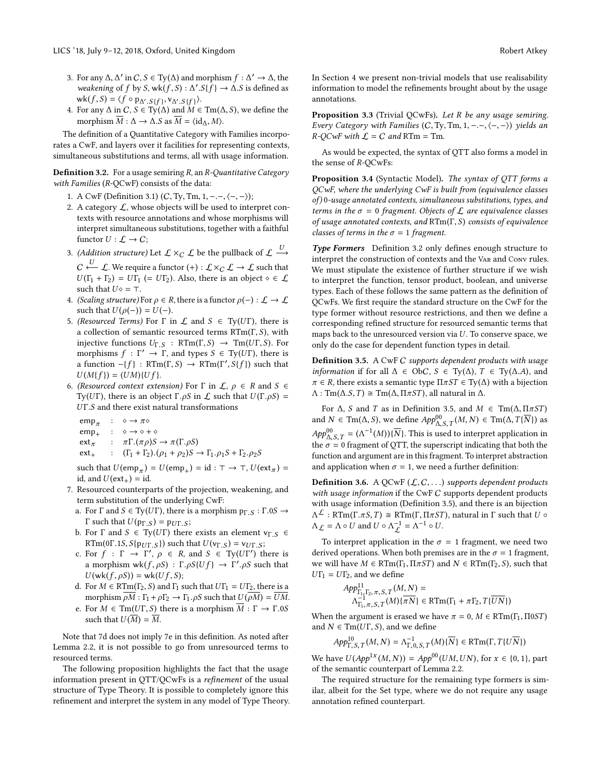- 3. For any  $\Delta, \Delta'$  in  $C, S \in Ty(\Delta)$  and morphism  $f : \Delta' \to \Delta$ , the suggestion of f by  $S$  where  $f : \Delta' \leq f \Rightarrow \Delta S$  is defined as weakening of f by S, wk $(f, S) : \Delta' . S\{f\} \rightarrow \Delta . S$  is defined as  $wk(f, S) = \langle f \circ p_{\Delta',S}\{f\}, V_{\Delta',S}\{f\} \rangle.$ <br>For any  $\Lambda$  in  $C, S \in Tw(\Lambda)$  and  $M \in$
- 4. For any  $\Delta$  in  $C$ ,  $S \in Ty(\Delta)$  and  $M \in Tm(\Delta, S)$ , we define the morphism  $\overline{M}$ ,  $\Delta \rightarrow \Delta S$  as  $\overline{M} = \langle id, M \rangle$ morphism  $\overline{M}$  :  $\Delta \rightarrow \Delta S$  as  $\overline{M} = \langle id \rangle$ ,  $M \rangle$ .

The definition of a Quantitative Category with Families incorporates a CwF, and layers over it facilities for representing contexts, simultaneous substitutions and terms, all with usage information.

<span id="page-5-0"></span>**Definition 3.2.** For a usage semiring  $R$ , an  $R$ -Quantitative Category with Families (R-QCwF) consists of the data:

- 1. A CwF [\(Definition 3.1\)](#page-4-5)  $(C, Ty, Tm, 1, -,-, \langle -, \rangle);$
- 2. A category  $\mathcal{L}$ , whose objects will be used to interpret contexts with resource annotations and whose morphisms will interpret simultaneous substitutions, together with a faithful functor  $U : \mathcal{L} \to \mathcal{C}$ ;
- 3. *(Addition structure)* Let  $\mathcal{L} \times_C \mathcal{L}$  be the pullback of  $\mathcal{L} \stackrel{\cup}{\longrightarrow}$  $C \xrightarrow{U} C$ . We require a functor  $(+): \mathcal{L} \times_C \mathcal{L} \to \mathcal{L}$  such that  $U(\Gamma_1 + \Gamma_2) = U(\Gamma_2)$ . Also, there is an object  $\wedge \in C$  $U(\Gamma_1 + \Gamma_2) = U\Gamma_1$  (= U $\Gamma_2$ ). Also, there is an object  $\diamond \in \mathcal{L}$ such that  $U \diamond = \top$ .
- 4. (Scaling structure) For  $\rho \in R$ , there is a functor  $\rho(-): \mathcal{L} \to \mathcal{L}$ such that  $U(\rho(-)) = U(-)$ .
- 5. (Resourced Terms) For  $\Gamma$  in  $\mathcal L$  and  $S \in \mathrm{Ty}(U\Gamma)$ , there is a collection of semantic resourced terms  $RTm(\Gamma, S)$ , with injective functions  $U_{\Gamma,S}$  : RTm( $\Gamma, S$ )  $\rightarrow$  Tm( $U\Gamma, S$ ). For morphisms  $f : \Gamma' \to \Gamma$ , and types  $S \in \text{Ty}(UT)$ , there is a function  $-(f)$ : RTm(Γ, S)  $\rightarrow$  RTm(Γ', S{f}) such that  $U(Mf) = (UM)Uf$  $U(M{f}) = (UM){Uf}.$
- 6. (Resourced context extension) For  $\Gamma$  in  $\mathcal{L}, \rho \in \mathbb{R}$  and  $S \in$ Ty(UΓ), there is an object Γ.ρS in  $\mathcal L$  such that  $U(\Gamma, \rho S)$  =  $UT.S$  and there exist natural transformations

 $emp_{\pi}$  $\text{emp}_{+}$  :  $\diamond \rightarrow \diamond + \diamond$ :  $\circ \rightarrow \pi \circ$ ext<sub>π</sub> :  $\pi \Gamma.(\pi \rho)S \to \pi(\Gamma. \rho S)$ <br>ext<sub>+</sub> :  $(\Gamma_1 + \Gamma_2).(\rho_1 + \rho_2)S$  $\Gamma$ :  $(\Gamma_1 + \Gamma_2).(\rho_1 + \rho_2)S \rightarrow \Gamma_1.\rho_1S + \Gamma_2.\rho_2S$ 

such that  $U(\text{emp}_{\pi}) = U(\text{emp}_{+}) = \text{id} : \top \to \top$ ,  $U(\text{ext}_{\pi}) = \text{id}$ <br>id and  $U(\text{ext}_{\pi}) = \text{id}$ id, and  $U(\text{ext}_{+}) = id$ .

- 7. Resourced counterparts of the projection, weakening, and term substitution of the underlying CwF:
	- a. For  $\Gamma$  and  $S \in Ty(UT)$ , there is a morphism  $p_{\Gamma,S} : \Gamma.0S \rightarrow$ Γ such that  $U(p_{Γ,S}) = p_{UT,S}$ ;
	- b. For  $\Gamma$  and  $S \in Ty(U\Gamma)$  there exists an element  $v_{\Gamma,S} \in$ RTm(0Γ.1S,  $S\{p_{UT,S}\}\)$  such that  $U(v_{T,S}) = v_{UT,S}$ ;
	- c. For  $f : \Gamma \to \Gamma', \rho \in R$ , and  $S \in \mathrm{Ty}(UT')$  there is a morphism  $wk(f, \rho S) : \Gamma, \rho S \cup \{Uf\} \to \Gamma', \rho S$  such that  $U(\psi(f, \rho S)) = \psi k \cup \{Uf, S\}$ .  $U$ (wk(f,  $\rho S$ )) = wk(Uf, S);
	- d. For  $M \in \text{RTm}(\Gamma_2, S)$  and  $\Gamma_1$  such that  $UT_1 = UT_2$ , there is a morphism  $\overline{\rho M} : \Gamma_1 + \rho \Gamma_2 \rightarrow \Gamma_1 \cdot \rho S$  such that  $U(\overline{\rho M}) = \overline{UM}$ .
	- e. For  $M \in \text{Tm}(U\Gamma, S)$  there is a morphism  $\overline{M} : \Gamma \to \Gamma.0S$ such that  $U(\overline{M}) = \overline{M}$ .

Note that 7d does not imply 7e in this definition. As noted after [Lemma 2.2,](#page-3-0) it is not possible to go from unresourced terms to resourced terms.

The following proposition highlights the fact that the usage information present in QTT/QCwFs is a refinement of the usual structure of Type Theory. It is possible to completely ignore this refinement and interpret the system in any model of Type Theory. In [Section 4](#page-6-0) we present non-trivial models that use realisability information to model the refinements brought about by the usage annotations.

Proposition 3.3 (Trivial QCwFs). Let R be any usage semiring. Every Category with Families  $(C, Ty, Tm, 1, -,-, \langle -, - \rangle)$  yields an  $R$ - $QCwF$  with  $\mathcal{L} = C$  and RTm = Tm.

As would be expected, the syntax of QTT also forms a model in the sense of R-QCwFs:

Proposition 3.4 (Syntactic Model). The syntax of QTT forms a QCwF, where the underlying CwF is built from (equivalence classes of) 0-usage annotated contexts, simultaneous substitutions, types, and terms in the  $\sigma = 0$  fragment. Objects of  $\mathcal L$  are equivalence classes of usage annotated contexts, and RTm(Γ, S) consists of equivalence classes of terms in the  $\sigma = 1$  fragment.

Type Formers [Definition 3.2](#page-5-0) only defines enough structure to interpret the construction of contexts and the Var and Conv rules. We must stipulate the existence of further structure if we wish to interpret the function, tensor product, boolean, and universe types. Each of these follows the same pattern as the definition of QCwFs. We first require the standard structure on the CwF for the type former without resource restrictions, and then we define a corresponding refined structure for resourced semantic terms that maps back to the unresourced version via  $U$ . To conserve space, we only do the case for dependent function types in detail.

<span id="page-5-1"></span>Definition 3.5. A CwF C supports dependent products with usage *information* if for all  $\Delta \in ObC$ ,  $S \in Ty(\Delta)$ ,  $T \in Ty(\Delta.A)$ , and  $\pi \in R$ , there exists a semantic type  $\Pi \pi ST \in Ty(\Delta)$  with a bijection  $\Lambda$ : Tm( $\Delta$ .S, T) ≅ Tm( $\Delta$ ,  $\Pi \pi ST$ ), all natural in  $\Delta$ .

For  $\Delta$ , S and T as in [Definition 3.5,](#page-5-1) and  $M \in \text{Tm}(\Delta, \Pi \pi S T)$ and  $N \in \text{Tm}(\Delta, S)$ , we define  $App_{\Delta, S,T}^{00}(M, N) \in \text{Tm}(\Delta, T\{\overline{N}\})$  as  $App_{\Delta,S,T}^{00} = (\Lambda^{-1}(M))\{\overline{N}\}\.$  This is used to interpret application in the  $\Lambda, S, T$  of technology of OTT, the superceptivi indication that hath the the  $\sigma = 0$  fragment of QTT, the superscript indicating that both the function and argument are in this fragment. To interpret abstraction function and argument are in this fragment. To interpret abstraction and application when  $\sigma = 1$ , we need a further definition:

**Definition 3.6.** A QCwF  $(L, C, ...)$  supports dependent products with usage information if the CwF C supports dependent products with usage information [\(Definition 3.5\)](#page-5-1), and there is an bijection  $\Lambda_{\mathcal{L}} = \Lambda \circ U$  and  $U \circ \Lambda_{\mathcal{L}}^{-1} = \Lambda^{-1} \circ U$ .  $\Lambda^{\mathcal{L}}$ : RTm(Γ. $\pi S$ , T)  $\cong$  RTm(Γ, Π $\pi S$ T), natural in Γ such that  $U \circ$ 

To interpret application in the  $\sigma = 1$  fragment, we need two derived operations. When both premises are in the  $\sigma = 1$  fragment, we will have  $M \in \text{RTm}(\Gamma_1, \Pi \pi S T)$  and  $N \in \text{RTm}(\Gamma_2, S)$ , such that  $UT_1 = UT_2$ , and we define

$$
App^{11}_{\Gamma_1, \Gamma_2, \pi, S, T}(M, N) =
$$
  

$$
\Lambda^{-1}_{\Gamma_1, \pi, S, T}(M) \{\overline{\pi N}\} \in \text{RTm}(\Gamma_1 + \pi \Gamma_2, T\{\overline{UN}\})
$$

When the argument is erased we have  $\pi = 0$ ,  $M \in RTm(\Gamma_1, \Pi 0ST)$ <br>and  $N \in Tm(\Pi \Gamma S)$  and we define and  $N \in \text{Tm}(U\Gamma, S)$ , and we define

$$
App_{\Gamma,S,T}^{10}(M,N) = \Lambda_{\Gamma,0,S,T}^{-1}(M)\{\overline{N}\} \in \text{RTm}(\Gamma, T\{U\overline{N}\})
$$

We have  $U(App^{1x}(M, N)) = App^{00}(UM, UN)$ , for  $x \in \{0, 1\}$ , part of the semantic counterpart of Lemma 2.2 of the semantic counterpart of [Lemma 2.2.](#page-3-0)

The required structure for the remaining type formers is similar, albeit for the Set type, where we do not require any usage annotation refined counterpart.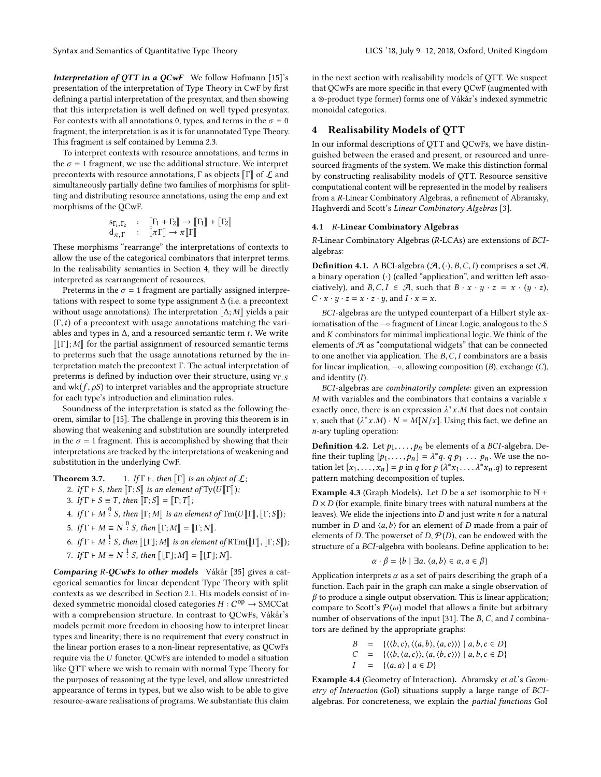Interpretation of OTT in a OCwF We follow Hofmann [\[15\]](#page-9-19)'s presentation of the interpretation of Type Theory in CwF by first defining a partial interpretation of the presyntax, and then showing that this interpretation is well defined on well typed presyntax. For contexts with all annotations 0, types, and terms in the  $\sigma = 0$ fragment, the interpretation is as it is for unannotated Type Theory. This fragment is self contained by [Lemma 2.3.](#page-4-2)

To interpret contexts with resource annotations, and terms in the  $\sigma = 1$  fragment, we use the additional structure. We interpret precontexts with resource annotations,  $\Gamma$  as objects  $\llbracket \Gamma \rrbracket$  of  $\mathcal L$  and simultaneously partially define two families of morphisms for splitting and distributing resource annotations, using the emp and ext morphisms of the QCwF.

$$
\begin{aligned}\n\mathbf{s}_{\Gamma_1, \Gamma_2} & \colon & \left[ \Gamma_1 + \Gamma_2 \right] \to \left[ \Gamma_1 \right] + \left[ \Gamma_2 \right] \\
\mathbf{d}_{\pi, \Gamma} & \colon & \left[ \pi \Gamma \right] \to \pi \left[ \Gamma \right]\n\end{aligned}
$$
\nThese morphisms "rearrange" the interpretations of contexts to

allow the use of the categorical combinators that interpret terms. In the realisability semantics in [Section 4,](#page-6-0) they will be directly interpreted as rearrangement of resources.

Preterms in the  $\sigma = 1$  fragment are partially assigned interpretations with respect to some type assignment ∆ (i.e. a precontext without usage annotations). The interpretation  $\llbracket \Delta; M \rrbracket$  yields a pair  $(\Gamma, t)$  of a precontext with usage annotations matching the variables and types in  $\Delta$ , and a resourced semantic term  $t$ . We write  $[[T]; M]$  for the partial assignment of resourced semantic terms to preterms such that the usage annotations returned by the interpretation match the precontext Γ. The actual interpretation of preterms is defined by induction over their structure, using  $v_{\Gamma,S}$ and wk( $f$ ,  $\rho S$ ) to interpret variables and the appropriate structure for each type's introduction and elimination rules.

Soundness of the interpretation is stated as the following theorem, similar to [\[15\]](#page-9-19). The challenge in proving this theorem is in showing that weakening and substitution are soundly interpreted in the  $\sigma = 1$  fragment. This is accomplished by showing that their interpretations are tracked by the interpretations of weakening and substitution in the underlying CwF.

**Theorem 3.7.** 1. If 
$$
\Gamma
$$
  $\vdash$ , then  $[\![\Gamma]\!]$  is an object of  $\mathcal{L}$ ;  
2. If  $\Gamma \vdash S$ , then  $[\![\Gamma \cdot S]\!]$  is an element of  $\text{Tr}([I][\![\Gamma]\!])$ .

2. If 
$$
\Gamma \vdash S
$$
, then  $[\![\Gamma; S]\!]$  is an element of  $\text{Ty}(U[\![\Gamma]\!])$ ;  
3. If  $\Gamma \vdash S \equiv T$ , then  $[\![\Gamma : S]\!] = [\![\Gamma : T]\!]$ .

3. If  $\Gamma \vdash S \equiv T$ , then  $\lbrack\lbrack \Gamma; S \rbrack \rbrack = \lbrack\lbrack \Gamma; T \rbrack$ ;

- 4. If  $\Gamma \vdash M \overset{0}{\vdots} S$ , then  $\llbracket \Gamma; M \rrbracket$  is an element of  $\text{Tr}(U \llbracket \Gamma \rrbracket, \llbracket \Gamma; S \rrbracket)$ ;
- 5. If  $\Gamma \vdash M \equiv N^0$  S, then  $\llbracket \Gamma; M \rrbracket = \llbracket \Gamma; N \rrbracket$ .
- 6. If  $\Gamma \vdash M \stackrel{1}{\vdots} S$ , then  $[\![\Gamma]\!]; M\!]$  is an element of  $\mathrm{RTm}([\![\Gamma]\!], [\![\Gamma; S]\!])$ ;
- 7. If  $\Gamma \vdash M \equiv N^{\frac{1}{2}} S$ , then  $[\![ [\Gamma]; M ]\!] = [\![ [\Gamma]; N ]\!]$ .

Comparing R-QCwFs to other models Vákár [\[35\]](#page-9-13) gives a categorical semantics for linear dependent Type Theory with split contexts as we described in [Section 2.1.](#page-0-1) His models consist of indexed symmetric monoidal closed categories  $H: C^{op} \to \text{SMCCat}$ <br>with a comprehension structure. In contrast to OCwEs, Válcár, with a comprehension structure. In contrast to QCwFs, Vákár's models permit more freedom in choosing how to interpret linear types and linearity; there is no requirement that every construct in the linear portion erases to a non-linear representative, as QCwFs require via the U functor. QCwFs are intended to model a situation like QTT where we wish to remain with normal Type Theory for the purposes of reasoning at the type level, and allow unrestricted appearance of terms in types, but we also wish to be able to give resource-aware realisations of programs. We substantiate this claim

in the next section with realisability models of QTT. We suspect that QCwFs are more specific in that every QCwF (augmented with a ⊗-product type former) forms one of Vákár's indexed symmetric monoidal categories.

## <span id="page-6-0"></span>4 Realisability Models of QTT

In our informal descriptions of QTT and QCwFs, we have distinguished between the erased and present, or resourced and unresourced fragments of the system. We make this distinction formal by constructing realisability models of QTT. Resource sensitive computational content will be represented in the model by realisers from a R-Linear Combinatory Algebras, a refinement of Abramsky, Haghverdi and Scott's Linear Combinatory Algebras [\[3\]](#page-9-20).

### 4.1 R-Linear Combinatory Algebras

R-Linear Combinatory Algebras (R-LCAs) are extensions of BCIalgebras:

**Definition 4.1.** A BCI-algebra  $(\mathcal{A}, (\cdot), B, C, I)$  comprises a set  $\mathcal{A}$ , a binary operation  $\left(\cdot\right)$  (called "application", and written left associatively), and  $B, C, I \in \mathcal{A}$ , such that  $B \cdot x \cdot y \cdot z = x \cdot (y \cdot z)$ ,  $C \cdot x \cdot y \cdot z = x \cdot z \cdot y$ , and  $I \cdot x = x$ .

BCI-algebras are the untyped counterpart of a Hilbert style axiomatisation of the  $\sim$  fragment of Linear Logic, analogous to the S and  $K$  combinators for minimal implicational logic. We think of the elements of  $A$  as "computational widgets" that can be connected to one another via application. The  $B, C, I$  combinators are a basis for linear implication,  $\sim$ , allowing composition (*B*), exchange (*C*), and identity  $(I)$ .

BCI-algebras are combinatorily complete: given an expression  $M$  with variables and the combinators that contains a variable  $x$ exactly once, there is an expression  $\lambda^* x.M$  that does not contain<br>x, such that  $(\lambda^* x.M) \cdot N - M[N/x]$ . Using this fact, we define an x, such that  $(\lambda^* x.M) \cdot N = M[N/x]$ . Using this fact, we define an n-ary tupling operation: n-ary tupling operation:

<span id="page-6-2"></span>**Definition 4.2.** Let  $p_1, \ldots, p_n$  be elements of a BCI-algebra. Define their tupling  $[p_1, \ldots, p_n] = \lambda^* q$ .  $q \, p_1 \ldots p_n$ . We use the no-<br>tation let  $[x, \ldots, x] = p$  in a for  $p(\lambda^* x, \ldots, \lambda^* x, a)$  to represent tation let  $[x_1, \ldots, x_n] = p$  in q for  $p(\lambda^* x_1, \ldots, \lambda^* x_n, q)$  to represent<br>pattern matching decomposition of tuples pattern matching decomposition of tuples.

<span id="page-6-1"></span>**Example 4.3** (Graph Models). Let *D* be a set isomorphic to  $\mathbb{N}$  +  $D \times D$  (for example, finite binary trees with natural numbers at the leaves). We elide the injections into  $D$  and just write  $n$  for a natural number in  $D$  and  $\langle a, b \rangle$  for an element of  $D$  made from a pair of elements of D. The powerset of D,  $P(D)$ , can be endowed with the structure of a BCI-algebra with booleans. Define application to be:

$$
\alpha \cdot \beta = \{b \mid \exists a. \langle a, b \rangle \in \alpha, a \in \beta\}
$$

Application interprets  $\alpha$  as a set of pairs describing the graph of a function. Each pair in the graph can make a single observation of function. Each pair in the graph can make a single observation of  $\beta$  to produce a single output observation. This is linear application; compare to Scott's  $P(\omega)$  model that allows a finite but arbitrary number of observations of the input [\[31\]](#page-9-21). The B, C, and I combinators are defined by the appropriate graphs:

$$
B = \{ \langle \langle b, c \rangle, \langle \langle a, b \rangle, \langle a, c \rangle \rangle \rangle \mid a, b, c \in D \}
$$
  
\n
$$
C = \{ \langle \langle b, \langle a, c \rangle \rangle, \langle a, \langle b, c \rangle \rangle \rangle \mid a, b, c \in D \}
$$
  
\n
$$
I = \{ \langle a, a \rangle \mid a \in D \}
$$

<span id="page-6-3"></span>Example 4.4 (Geometry of Interaction). Abramsky et al.'s Geometry of Interaction (GoI) situations supply a large range of BCIalgebras. For concreteness, we explain the partial functions GoI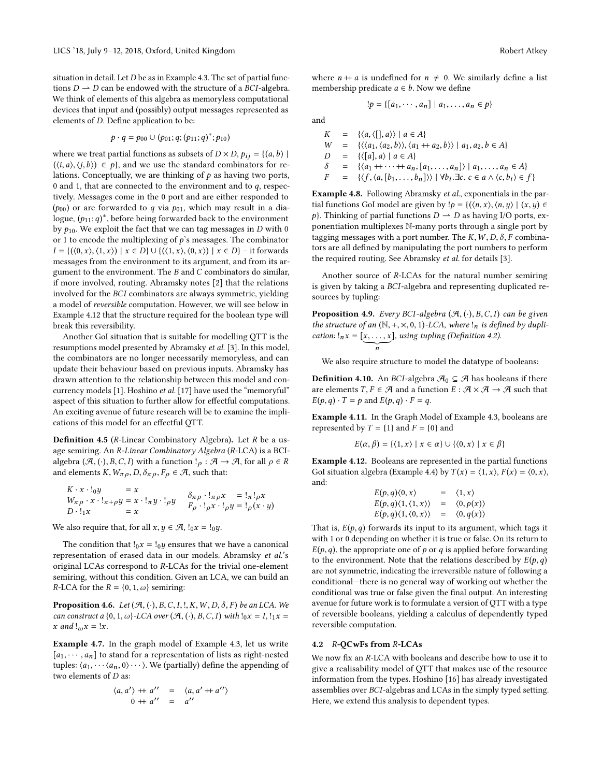situation in detail. Let  $D$  be as in [Example 4.3.](#page-6-1) The set of partial functions  $D \rightarrow D$  can be endowed with the structure of a BCI-algebra. We think of elements of this algebra as memoryless computational devices that input and (possibly) output messages represented as elements of D. Define application to be:

$$
p \cdot q = p_{00} \cup (p_{01}; q; (p_{11}; q)^*; p_{10})
$$

where we treat partial functions as subsets of  $D \times D$ ,  $p_{ij} = \{(a, b) \mid$  $(\langle i, a \rangle, \langle j, b \rangle) \in p$ , and we use the standard combinators for relations. Conceptually, we are thinking of  $p$  as having two ports, 0 and 1, that are connected to the environment and to  $q$ , respectively. Messages come in the 0 port and are either responded to  $(p_{00})$  or are forwarded to q via  $p_{01}$ , which may result in a dialogue,  $(p_{11};q)^*$ , before being forwarded back to the environment<br>by the We exploit the fact that we can tag messages in D with 0 by  $p_{10}$ . We exploit the fact that we can tag messages in D with 0 or 1 to encode the multiplexing of  $p$ 's messages. The combinator  $I = \{(\langle 0, x \rangle, \langle 1, x \rangle) \mid x \in D\} \cup \{(\langle 1, x \rangle, \langle 0, x \rangle) \mid x \in D\}$  – it forwards messages from the environment to its argument, and from its argument to the environment. The  $B$  and  $C$  combinators do similar, if more involved, routing. Abramsky notes [\[2\]](#page-9-22) that the relations involved for the BCI combinators are always symmetric, yielding a model of reversible computation. However, we will see below in [Example 4.12](#page-7-0) that the structure required for the boolean type will break this reversibility.

Another GoI situation that is suitable for modelling QTT is the resumptions model presented by Abramsky et al. [\[3\]](#page-9-20). In this model, the combinators are no longer necessarily memoryless, and can update their behaviour based on previous inputs. Abramsky has drawn attention to the relationship between this model and concurrency models [\[1\]](#page-9-23). Hoshino et al. [\[17\]](#page-9-24) have used the "memoryful" aspect of this situation to further allow for effectful computations. An exciting avenue of future research will be to examine the implications of this model for an effectful QTT.

Definition 4.5 (R-Linear Combinatory Algebra). Let <sup>R</sup> be a usage semiring. An R-Linear Combinatory Algebra (R-LCA) is a BCIalgebra  $(\mathcal{A}, (\cdot), B, C, I)$  with a function  $!_{\rho} : \mathcal{A} \rightarrow \mathcal{A}$ , for all  $\rho \in R$ and elements  $K, W_{\pi \rho}, D, \delta_{\pi \rho}, F_{\rho} \in \mathcal{A}$ , such that:

$$
K \cdot x \cdot \log_{\alpha} x \cdot \log_{\alpha} x \cdot \log_{\alpha} x \cdot \log_{\alpha} x = x \cdot \log_{\alpha} x \cdot \log_{\alpha} x \cdot \log_{\alpha} x \cdot \log_{\alpha} x \cdot \log_{\alpha} x \cdot \log_{\alpha} x \cdot \log_{\alpha} x \cdot \log_{\alpha} x \cdot \log_{\alpha} x \cdot \log_{\alpha} x \cdot \log_{\alpha} x \cdot \log_{\alpha} x \cdot \log_{\alpha} x \cdot \log_{\alpha} x \cdot \log_{\alpha} x \cdot \log_{\alpha} x \cdot \log_{\alpha} x \cdot \log_{\alpha} x \cdot \log_{\alpha} x \cdot \log_{\alpha} x \cdot \log_{\alpha} x \cdot \log_{\alpha} x \cdot \log_{\alpha} x \cdot \log_{\alpha} x \cdot \log_{\alpha} x \cdot \log_{\alpha} x \cdot \log_{\alpha} x \cdot \log_{\alpha} x \cdot \log_{\alpha} x \cdot \log_{\alpha} x \cdot \log_{\alpha} x \cdot \log_{\alpha} x \cdot \log_{\alpha} x \cdot \log_{\alpha} x \cdot \log_{\alpha} x \cdot \log_{\alpha} x \cdot \log_{\alpha} x \cdot \log_{\alpha} x \cdot \log_{\alpha} x \cdot \log_{\alpha} x \cdot \log_{\alpha} x \cdot \log_{\alpha} x \cdot \log_{\alpha} x \cdot \log_{\alpha} x \cdot \log_{\alpha} x \cdot \log_{\alpha} x \cdot \log_{\alpha} x \cdot \log_{\alpha} x \cdot \log_{\alpha} x \cdot \log_{\alpha} x \cdot \log_{\alpha} x \cdot \log_{\alpha} x \cdot \log_{\alpha} x \cdot \log_{\alpha} x \cdot \log_{\alpha} x \cdot \log_{\alpha} x \cdot \log_{\alpha} x \cdot \log_{\alpha} x \cdot \log_{\alpha} x \cdot \log_{\alpha} x \cdot \log_{\alpha} x \cdot \log_{\alpha} x \cdot \log_{\alpha} x \cdot \log_{\alpha} x \cdot \log_{\alpha} x \cdot \log_{\alpha} x \cdot \log_{\alpha} x \cdot \log_{\alpha} x \cdot \log_{\alpha} x \cdot \log_{\alpha} x \cdot \log_{\alpha} x \cdot \log_{\alpha} x \cdot \log_{\alpha} x \cdot \log_{\alpha} x \cdot \log_{\alpha} x \cdot \log_{\alpha} x \cdot \log_{\alpha} x \cdot \log_{\alpha} x \cdot \log_{\alpha} x \cdot \log_{\
$$

We also require that, for all  $x, y \in \mathcal{A}$ ,  $!_0 x = !_0 y$ .

The condition that  $!_0x = 1_0y$  ensures that we have a canonical representation of erased data in our models. Abramsky et al.'s original LCAs correspond to R-LCAs for the trivial one-element semiring, without this condition. Given an LCA, we can build an *R*-LCA for the *R* = {0, 1,  $\omega$ } semiring:

**Proposition 4.6.** Let  $(\mathcal{A}, (\cdot), B, C, I, \cdot, K, W, D, \delta, F)$  be an LCA. We can construct a  $\{0, 1, \omega\}$ -LCA over  $(\mathcal{A}, (\cdot), B, C, I)$  with  $\iota_0 x = I$ ,  $\iota_1 x =$ x and  $!_{\omega}x = !x$ .

Example 4.7. In the graph model of [Example 4.3,](#page-6-1) let us write  $[a_1, \dots, a_n]$  to stand for a representation of lists as right-nested tuples:  $\langle a_1, \cdots, a_n, 0 \rangle \cdots$ . We (partially) define the appending of two elements of  $D$  as:

$$
\begin{array}{rcl}\n\langle a, a' \rangle + a'' & = & \langle a, a' + a'' \rangle \\
0 + a'' & = & a''\n\end{array}
$$

where  $n + a$  is undefined for  $n \neq 0$ . We similarly define a list membership predicate  $a \in b$ . Now we define

$$
!p = \{ [a_1, \cdots, a_n] \mid a_1, \ldots, a_n \in p \}
$$

and

$$
K = \{(a, \langle [], a \rangle) \mid a \in A\}
$$
  
\n
$$
W = \{ \langle \langle a_1, \langle a_2, b \rangle \rangle, \langle a_1 + a_2, b \rangle \rangle \mid a_1, a_2, b \in A \}
$$
  
\n
$$
D = \{ \langle [a], a \rangle \mid a \in A \}
$$
  
\n
$$
\delta = \{ \langle a_1 + \cdots + a_n, [a_1, \ldots, a_n] \rangle \mid a_1, \ldots, a_n \in A \}
$$
  
\n
$$
F = \{ \langle f, \langle a, [b_1, \ldots, b_n] \rangle \rangle \mid \forall b_i. \exists c. \ c \in a \land \langle c, b_i \rangle \in f \}
$$

Example 4.8. Following Abramsky et al., exponentials in the partial functions GoI model are given by  $!p = \{(\langle n, x \rangle, \langle n, y \rangle \mid (x, y) \in$ p}. Thinking of partial functions  $D \to D$  as having I/O ports, exponentiation multiplexes N-many ports through a single port by tagging messages with a port number. The  $K, W, D, \delta, F$  combinators are all defined by manipulating the port numbers to perform the required routing. See Abramsky et al. for details [\[3\]](#page-9-20).

Another source of R-LCAs for the natural number semiring is given by taking a BCI-algebra and representing duplicated resources by tupling:

**Proposition 4.9.** Every BCI-algebra  $(\mathcal{A}, (\cdot), B, C, I)$  can be given the structure of an  $(\mathbb{N}, +, \times, 0, 1)$ -LCA, where  $!_n$  is defined by duplication:  $!_nx = [x, \ldots, x]$ , using tupling [\(Definition 4.2\)](#page-6-2).

We also require structure to model the datatype of booleans:

<span id="page-7-1"></span>**Definition 4.10.** An *BCI*-algebra  $\mathcal{A}_0 \subseteq \mathcal{A}$  has booleans if there are elements  $T, F \in \mathcal{A}$  and a function  $E : \mathcal{A} \times \mathcal{A} \to \mathcal{A}$  such that  $E(p,q) \cdot T = p$  and  $E(p,q) \cdot F = q$ .

Example 4.11. In the Graph Model of [Example 4.3,](#page-6-1) booleans are represented by  $T = \{1\}$  and  $F = \{0\}$  and

$$
E(\alpha, \beta) = \{ \langle 1, x \rangle \mid x \in \alpha \} \cup \{ \langle 0, x \rangle \mid x \in \beta \}
$$

<span id="page-7-0"></span>Example 4.12. Booleans are represented in the partial functions GoI situation algebra [\(Example 4.4\)](#page-6-3) by  $T(x) = \langle 1, x \rangle$ ,  $F(x) = \langle 0, x \rangle$ , and:

$$
E(p,q)\langle 0,x \rangle = \langle 1,x \rangle
$$
  
\n
$$
E(p,q)\langle 1,\langle 1,x \rangle \rangle = \langle 0,p(x) \rangle
$$
  
\n
$$
E(p,q)\langle 1,\langle 0,x \rangle \rangle = \langle 0,q(x) \rangle
$$

That is,  $E(p, q)$  forwards its input to its argument, which tags it with 1 or 0 depending on whether it is true or folse. On its return to with 1 or 0 depending on whether it is true or false. On its return to  $E(p,q)$ , the appropriate one of p or q is applied before forwarding to the environment. Note that the relations described by  $E(p,q)$ are not symmetric, indicating the irreversible nature of following a conditional—there is no general way of working out whether the conditional was true or false given the final output. An interesting avenue for future work is to formulate a version of QTT with a type of reversible booleans, yielding a calculus of dependently typed reversible computation.

### 4.2 R-QCwFs from R-LCAs

We now fix an R-LCA with booleans and describe how to use it to give a realisability model of QTT that makes use of the resource information from the types. Hoshino [\[16\]](#page-9-25) has already investigated assemblies over BCI-algebras and LCAs in the simply typed setting. Here, we extend this analysis to dependent types.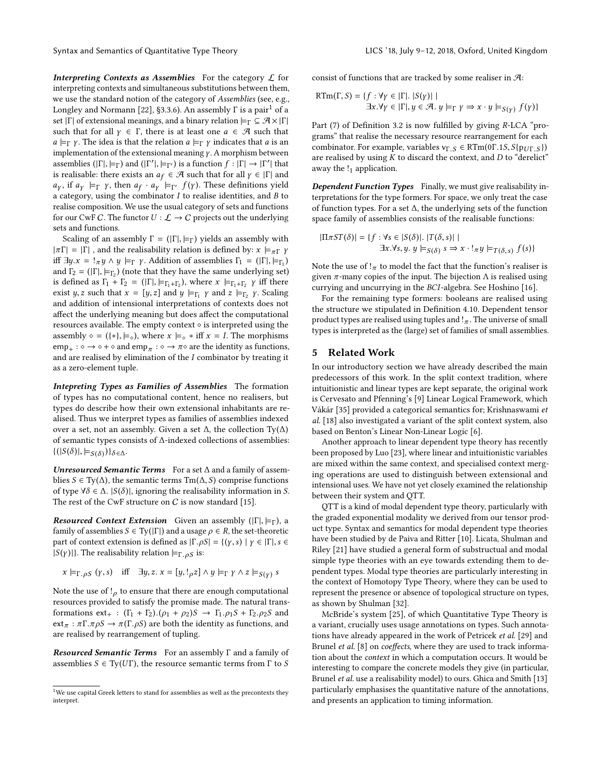**Interpreting Contexts as Assemblies** For the category  $\mathcal{L}$  for interpreting contexts and simultaneous substitutions between them, we use the standard notion of the category of Assemblies (see, e.g., Longley and Normann [\[22\]](#page-9-26), §3.3.6). An assembly  $\Gamma$  is a pair<sup>[1](#page-8-0)</sup> of a set |Γ| of extensional meanings, and a binary relation  $\models_{\Gamma} \subseteq \mathcal{A} \times |\Gamma|$ such that for all  $\gamma \in \Gamma$ , there is at least one  $a \in \mathcal{A}$  such that  $a \models_{\Gamma} \gamma$ . The idea is that the relation  $a \models_{\Gamma} \gamma$  indicates that a is an implementation of the extensional meaning  $\gamma$ . A morphism between assemblies  $(|\Gamma|, |\equiv_{\Gamma})$  and  $(|\Gamma'|, |\equiv_{\Gamma'})$  is a function  $f : |\Gamma| \to |\Gamma'|$  that is realizable; there exists an  $g \in \mathcal{F}$  such that for all  $y \in |\Gamma|$  and is realisable: there exists an  $a_f \in \mathcal{A}$  such that for all  $\gamma \in |\Gamma|$  and  $a_Y$ , if  $a_Y \models_{\Gamma} Y$ , then  $a_f \cdot a_Y \models_{\Gamma'} f(Y)$ . These definitions yield a category, using the combinator  $I$  to realise identities, and  $B$  to realise composition. We use the usual category of sets and functions for our CwF C. The functor  $U : \mathcal{L} \to C$  projects out the underlying sets and functions.

Scaling of an assembly  $\Gamma = (|\Gamma|, |\equiv_{\Gamma})$  yields an assembly with  $|\pi \Gamma| = |\Gamma|$ , and the realisability relation is defined by:  $x \models_{\pi \Gamma} \gamma$ iff  $\exists y.x = !_{\pi} y \wedge y \models_{\Gamma} \gamma$ . Addition of assemblies  $\Gamma_1 = (|\Gamma|, \models_{\Gamma_1})$ and  $\Gamma_2 = (\vert \Gamma \vert, \vert \mp \Gamma_2)$  (note that they have the same underlying set)<br>is defined as  $\Gamma_2 + \Gamma_2$  ( $\Gamma_1 \vert \pm \Gamma_2$ ) where  $\chi \vert \pm \Gamma_2$ ,  $\Gamma_1$  is defined as  $\Gamma_2 + \Gamma_2 = (\vert \Gamma \vert, \vert \pm \Gamma_2)$ , where  $\chi \vert \pm \Gamma_2$ ,  $\Gamma_1$  if the is defined as  $\Gamma_1 + \Gamma_2 = (|\Gamma|, |\Xi_{\Gamma_1 + \Gamma_2})$ , where  $x \models_{\Gamma_1 + \Gamma_2} \gamma$  iff there exist y, z such that  $x = [y, z]$  and  $y \models_{\Gamma_1} y$  and  $z \models_{\Gamma_2} y$ . Scaling and addition of intensional interpretations of contexts does not affect the underlying meaning but does affect the computational resources available. The empty context  $\diamond$  is interpreted using the assembly  $\diamond = (\{*\}, \models \diamond)$ , where  $x \models \diamond * \text{ iff } x = I$ . The morphisms  $\text{emp}_+ : \diamond \to \diamond + \diamond$  and  $\text{emp}_{\pi} : \diamond \to \pi \diamond$  are the identity as functions, and are realised by elimination of the  $I$  combinator by treating it as a zero-element tuple. as a zero-element tuple.

Intepreting Types as Families of Assemblies The formation of types has no computational content, hence no realisers, but types do describe how their own extensional inhabitants are realised. Thus we interpret types as families of assemblies indexed over a set, not an assembly. Given a set  $\Delta$ , the collection Ty( $\Delta$ ) of semantic types consists of ∆-indexed collections of assemblies:  $\{(|S(\delta)|, \models_{S(\delta)})\}_{\delta \in \Delta}$ .

Unresourced Semantic Terms For a set  $\Delta$  and a family of assemblies *S* ∈ Ty( $\Delta$ ), the semantic terms Tm( $\Delta$ , *S*) comprise functions of type  $\forall \delta \in \Delta$ . |S( $\delta$ )|, ignoring the realisability information in S. The rest of the CwF structure on  $C$  is now standard [\[15\]](#page-9-19).

**Resourced Context Extension** Given an assembly ( $|\Gamma|, \models_{\Gamma}$ ), a family of assemblies  $S \in Ty(|\Gamma|)$  and a usage  $\rho \in R$ , the set-theoretic part of context extension is defined as  $|\Gamma.\rho S| = \{(y, s) | y \in |\Gamma|, s \in$  $|S(y)|$ . The realisability relation  $\models_{\Gamma, \rho S}$  is:

$$
x \models_{\Gamma, \rho S} (\gamma, s) \quad \text{iff} \quad \exists y, z. \ x = [y, !_{\rho} z] \land y \models_{\Gamma} \gamma \land z \models_{S(\gamma)} s
$$

Note the use of  $\mu$  to ensure that there are enough computational recourses provided to estisfy the promise mode. The petural trans resources provided to satisfy the promise made. The natural transformations  $ext_+ : (\Gamma_1 + \Gamma_2).(\rho_1 + \rho_2)S \rightarrow \Gamma_1.\rho_1S + \Gamma_2.\rho_2S$  and  $ext_{\pi}: \pi \Gamma \cdot \pi \rho S \to \pi(\Gamma \cdot \rho S)$  are both the identity as functions, and are realised by rearrangement of tupling.

Resourced Semantic Terms For an assembly Γ and a family of assemblies  $S \in Ty(UT)$ , the resource semantic terms from  $\Gamma$  to  $S$ 

consist of functions that are tracked by some realiser in  $\mathcal{A}$ :

$$
RTm(\Gamma, S) = \{f : \forall \gamma \in |\Gamma|, |S(\gamma)| \mid
$$
  

$$
\exists x. \forall \gamma \in |\Gamma|, y \in \mathcal{A}. y \models_{\Gamma} \gamma \Rightarrow x \cdot y \models_{S(\gamma)} f(\gamma) \}
$$

Part (7) of [Definition 3.2](#page-5-0) is now fulfilled by giving R-LCA "programs" that realise the necessary resource rearrangement for each combinator. For example, variables  $v_{\Gamma,S} \in \mathrm{RTm}(0\Gamma.1S, S\{p_{UT,S}\})$ are realised by using  $K$  to discard the context, and  $D$  to "derelict" away the  $!_1$  application.

Dependent Function Types Finally, we must give realisability interpretations for the type formers. For space, we only treat the case of function types. For a set ∆, the underlying sets of the function space family of assemblies consists of the realisable functions:

$$
|\Pi \pi ST(\delta)| = \{ f : \forall s \in |S(\delta)|. |T(\delta, s)| \mid
$$
  

$$
\exists x. \forall s, y. y \models_{S(\delta)} s \Rightarrow x \cdot !_{\pi} y \models_{T(\delta, s)} f(s) \}
$$

Note the use of  $\mathcal{F}_{\pi}$  to model the fact that the function's realiser is given  $\pi$  many copies of the input. The bijection A is realised using given  $\pi$ -many copies of the input. The bijection  $\Lambda$  is realised using currying and uncurrying in the BCI-algebra. See Hoshino [\[16\]](#page-9-25).

For the remaining type formers: booleans are realised using the structure we stipulated in [Definition 4.10.](#page-7-1) Dependent tensor product types are realised using tuples and  $\pi$ . The universe of small<br>types is interpreted as the (large) set of families of small assemblies types is interpreted as the (large) set of families of small assemblies.

### 5 Related Work

In our introductory section we have already described the main predecessors of this work. In the split context tradition, where intuitionistic and linear types are kept separate, the original work is Cervesato and Pfenning's [\[9\]](#page-9-11) Linear Logical Framework, which Vákár [\[35\]](#page-9-13) provided a categorical semantics for; Krishnaswami et al. [\[18\]](#page-9-12) also investigated a variant of the split context system, also based on Benton's Linear Non-Linear Logic [\[6\]](#page-9-27).

Another approach to linear dependent type theory has recently been proposed by Luo [\[23\]](#page-9-28), where linear and intuitionistic variables are mixed within the same context, and specialised context merging operations are used to distinguish between extensional and intensional uses. We have not yet closely examined the relationship between their system and QTT.

QTT is a kind of modal dependent type theory, particularly with the graded exponential modality we derived from our tensor product type. Syntax and semantics for modal dependent type theories have been studied by de Paiva and Ritter [\[10\]](#page-9-29). Licata, Shulman and Riley [\[21\]](#page-9-30) have studied a general form of substructual and modal simple type theories with an eye towards extending them to dependent types. Modal type theories are particularly interesting in the context of Homotopy Type Theory, where they can be used to represent the presence or absence of topological structure on types, as shown by Shulman [\[32\]](#page-9-31).

McBride's system [\[25\]](#page-9-9), of which Quantitative Type Theory is a variant, crucially uses usage annotations on types. Such annota-tions have already appeared in the work of Petricek et al. [\[29\]](#page-9-6) and Brunel et al. [\[8\]](#page-9-7) on coeffects, where they are used to track information about the context in which a computation occurs. It would be interesting to compare the concrete models they give (in particular, Brunel et al. use a realisability model) to ours. Ghica and Smith [\[13\]](#page-9-8) particularly emphasises the quantitative nature of the annotations, and presents an application to timing information.

<span id="page-8-0"></span><sup>&</sup>lt;sup>1</sup>We use capital Greek letters to stand for assemblies as well as the precontexts they interpret.